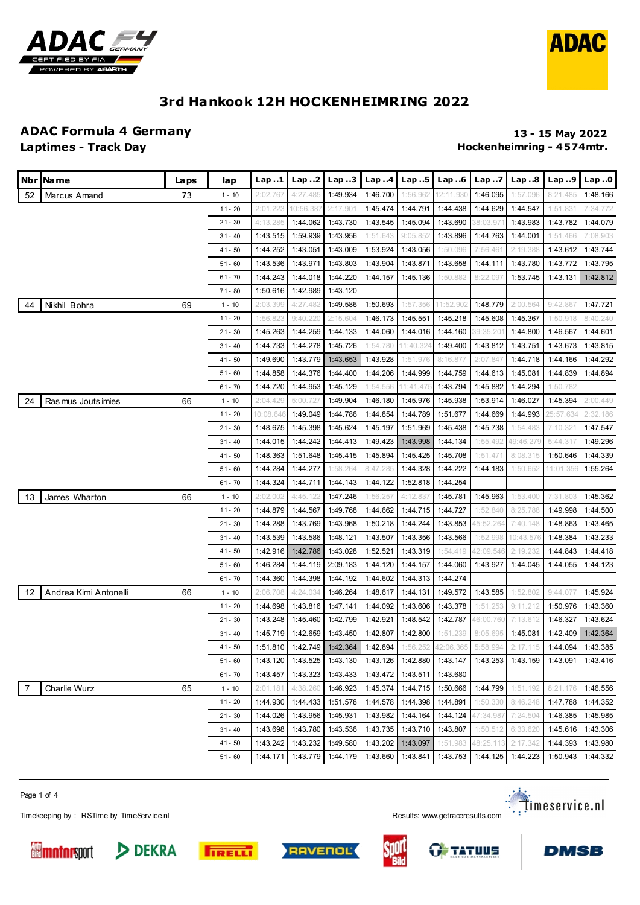



#### **ADAC Formula 4 Germany 13 - 15 May 2022**

### **Laptimes - Track Day Hockenheimring - 4 574mtr.**

|    | Nbr INa me            | Laps | lap       | Lap.1     | Lap 2     | Lap. .3                        | Lap.4    | Lap.5     | Lap 6     | Lap 7     | Lap. .8   | Lap.9     | Lap.0    |
|----|-----------------------|------|-----------|-----------|-----------|--------------------------------|----------|-----------|-----------|-----------|-----------|-----------|----------|
| 52 | Marcus Amand          | 73   | $1 - 10$  | 2:02.767  | 4:27.485  | 1:49.934                       | 1:46.700 | 1:56.962  | 12:11.930 | 1:46.095  | 1:57.096  | 8:21.485  | 1:48.166 |
|    |                       |      | $11 - 20$ | 2:01.223  | 10:56.387 | 2:17.901                       | 1:45.474 | 1:44.791  | 1:44.438  | 1:44.629  | 1:44.547  | 1:51.831  | 7:34.772 |
|    |                       |      | $21 - 30$ | 4:13.285  | 1:44.062  | 1:43.730                       | 1:43.545 | 1:45.094  | 1:43.690  | 38:03.971 | 1:43.983  | 1:43.782  | 1:44.079 |
|    |                       |      | $31 - 40$ | 1:43.515  | 1:59.939  | 1:43.956                       | 1:51.643 | 9:05.852  | 1:43.896  | 1:44.763  | 1:44.001  | 1:51.466  | 7:08.903 |
|    |                       |      | 41 - 50   | 1:44.252  | 1:43.051  | 1:43.009                       | 1:53.924 | 1:43.056  | 1:50.096  | 7:56.461  | 2:19.388  | 1:43.612  | 1:43.744 |
|    |                       |      | $51 - 60$ | 1:43.536  | 1:43.971  | 1:43.803                       | 1:43.904 | 1:43.871  | 1:43.658  | 1:44.111  | 1:43.780  | 1:43.772  | 1:43.795 |
|    |                       |      | $61 - 70$ | 1:44.243  | 1:44.018  | 1:44.220                       | 1:44.157 | 1:45.136  | 1:50.882  | 8:22.097  | 1:53.745  | 1:43.131  | 1:42.812 |
|    |                       |      | $71 - 80$ | 1:50.616  | 1:42.989  | 1:43.120                       |          |           |           |           |           |           |          |
| 44 | Nikhil Bohra          | 69   | $1 - 10$  | 2:03.399  | 4:27.482  | 1:49.586                       | 1:50.693 | 1:57.356  | 11:52.902 | 1:48.779  | 2:00.564  | 9:42.867  | 1:47.721 |
|    |                       |      | $11 - 20$ | 1:56.823  | 9:40.220  | 2:15.604                       | 1:46.173 | 1:45.551  | 1:45.218  | 1:45.608  | 1:45.367  | 1:50.918  | 8:40.240 |
|    |                       |      | $21 - 30$ | 1:45.263  | 1:44.259  | 1:44.133                       | 1:44.060 | 1:44.016  | 1:44.160  | 39:35.201 | 1:44.800  | 1:46.567  | 1:44.601 |
|    |                       |      | $31 - 40$ | 1:44.733  | 1:44.278  | 1:45.726                       | 1:54.780 | 11:40.324 | 1:49.400  | 1:43.812  | 1:43.751  | 1:43.673  | 1:43.815 |
|    |                       |      | 41 - 50   | 1:49.690  | 1:43.779  | 1:43.653                       | 1:43.928 | 1:51.976  | 8:16.877  | 2:07.847  | 1:44.718  | 1:44.166  | 1:44.292 |
|    |                       |      | $51 - 60$ | 1:44.858  | 1:44.376  | 1:44.400                       | 1:44.206 | 1:44.999  | 1:44.759  | 1:44.613  | 1:45.081  | 1:44.839  | 1:44.894 |
|    |                       |      | $61 - 70$ | 1:44.720  | 1:44.953  | 1:45.129                       | 1:54.556 | 11:41.475 | 1:43.794  | 1:45.882  | 1:44.294  | 1:50.782  |          |
| 24 | Ras mus Jouts imies   | 66   | $1 - 10$  | 2:04.429  | 5:00.727  | 1:49.904                       | 1:46.180 | 1:45.976  | 1:45.938  | 1:53.914  | 1:46.027  | 1:45.394  | 2:00.449 |
|    |                       |      | $11 - 20$ | 10:08.646 | 1:49.049  | 1:44.786                       | 1:44.854 | 1:44.789  | 1:51.677  | 1:44.669  | 1:44.993  | 25:57.634 | 2:32.186 |
|    |                       |      | $21 - 30$ | 1:48.675  | 1:45.398  | 1:45.624                       | 1:45.197 | 1:51.969  | 1:45.438  | 1:45.738  | 1:54.483  | 7:10.321  | 1:47.547 |
|    |                       |      | $31 - 40$ | 1:44.015  | 1:44.242  | 1:44.413                       | 1:49.423 | 1:43.998  | 1:44.134  | 1:55.492  | 49:46.279 | 5:44.317  | 1:49.296 |
|    |                       |      | 41 - 50   | 1:48.363  | 1:51.648  | 1:45.415                       | 1:45.894 | 1:45.425  | 1:45.708  | 1:51.471  | 8:08.315  | 1:50.646  | 1:44.339 |
|    |                       |      | $51 - 60$ | 1:44.284  | 1:44.277  | 1:58.264                       | 8:47.285 | 1:44.328  | 1:44.222  | 1:44.183  | 1:50.652  | 11:01.356 | 1:55.264 |
|    |                       |      | $61 - 70$ | 1:44.324  | 1:44.711  | 1:44.143                       | 1:44.122 | 1:52.818  | 1:44.254  |           |           |           |          |
| 13 | James Wharton         | 66   | $1 - 10$  | 2:02.002  | 4:45.122  | 1:47.246                       | 1:56.257 | 4:12.837  | 1:45.781  | 1:45.963  | 1:53.400  | 7:31.803  | 1:45.362 |
|    |                       |      | $11 - 20$ | 1:44.879  | 1:44.567  | 1:49.768                       | 1:44.662 | 1:44.715  | 1:44.727  | 1:52.840  | 8:25.788  | 1:49.998  | 1:44.500 |
|    |                       |      | $21 - 30$ | 1:44.288  | 1:43.769  | 1:43.968                       | 1:50.218 | 1:44.244  | 1:43.853  | 45:52.264 | 7:40.148  | 1:48.863  | 1:43.465 |
|    |                       |      | $31 - 40$ | 1:43.539  | 1:43.586  | 1:48.121                       | 1:43.507 | 1:43.356  | 1:43.566  | 1:52.998  | 10:43.576 | 1:48.384  | 1:43.233 |
|    |                       |      | $41 - 50$ | 1:42.916  | 1:42.786  | 1:43.028                       | 1:52.521 | 1:43.319  | 1:54.419  | 42:09.546 | 2:19.232  | 1:44.843  | 1:44.418 |
|    |                       |      | $51 - 60$ | 1:46.284  | 1:44.119  | 2:09.183                       | 1:44.120 | 1:44.157  | 1:44.060  | 1:43.927  | 1:44.045  | 1:44.055  | 1:44.123 |
|    |                       |      | $61 - 70$ | 1:44.360  | 1:44.398  | 1:44.192                       | 1:44.602 | 1:44.313  | 1:44.274  |           |           |           |          |
| 12 | Andrea Kimi Antonelli | 66   | $1 - 10$  | 2:06.708  | 4:24.034  | 1:46.264                       | 1:48.617 | 1:44.131  | 1:49.572  | 1:43.585  | 1:52.802  | 9:44.077  | 1:45.924 |
|    |                       |      | $11 - 20$ | 1:44.698  | 1:43.816  | 1:47.141                       | 1:44.092 | 1:43.606  | 1:43.378  | 1:51.253  | 9:11.212  | 1:50.976  | 1:43.360 |
|    |                       |      | $21 - 30$ | 1:43.248  | 1:45.460  | 1:42.799                       | 1:42.921 | 1:48.542  | 1:42.787  | 46:00.760 | 7:13.612  | 1:46.327  | 1:43.624 |
|    |                       |      | $31 - 40$ | 1:45.719  | 1:42.659  | 1:43.450                       | 1:42.807 | 1:42.800  | 1:51.239  | 8:05.695  | 1:45.081  | 1:42.409  | 1:42.364 |
|    |                       |      | 41 - 50   |           |           | 1:51.810   1:42.749   1:42.364 | 1:42.894 | 1:56.252  | 42:06.365 | 5:58.994  | 2:17.115  | 1:44.094  | 1:43.385 |
|    |                       |      | $51 - 60$ | 1:43.120  | 1:43.525  | 1:43.130                       | 1:43.126 | 1:42.880  | 1:43.147  | 1:43.253  | 1:43.159  | 1:43.091  | 1:43.416 |
|    |                       |      | $61 - 70$ | 1:43.457  | 1:43.323  | 1:43.433                       | 1:43.472 | 1:43.511  | 1:43.680  |           |           |           |          |
| 7  | <b>Charlie Wurz</b>   | 65   | $1 - 10$  | 2:01.181  | 4:38.260  | 1:46.923                       | 1:45.374 | 1:44.715  | 1:50.666  | 1:44.799  | 1:51.192  | 8:21.176  | 1:46.556 |
|    |                       |      | $11 - 20$ | 1:44.930  | 1:44.433  | 1:51.578                       | 1:44.578 | 1:44.398  | 1:44.891  | 1:50.330  | 8:46.248  | 1:47.788  | 1:44.352 |
|    |                       |      | $21 - 30$ | 1:44.026  | 1:43.956  | 1:45.931                       | 1:43.982 | 1:44.164  | 1:44.124  | 47:34.987 | 7:24.504  | 1:46.385  | 1:45.985 |
|    |                       |      | $31 - 40$ | 1:43.698  | 1:43.780  | 1:43.536                       | 1:43.735 | 1:43.710  | 1:43.807  | 1:50.512  | 6:33.620  | 1:45.616  | 1:43.306 |
|    |                       |      | $41 - 50$ | 1:43.242  | 1:43.232  | 1:49.580                       | 1:43.202 | 1:43.097  | 1:51.983  | 48:25.113 | 2:17.342  | 1:44.393  | 1:43.980 |
|    |                       |      | $51 - 60$ | 1:44.171  | 1:43.779  | 1:44.179                       | 1:43.660 | 1:43.841  | 1:43.753  | 1:44.125  | 1:44.223  | 1:50.943  | 1:44.332 |

Page 1 of 4

Timekeeping by : RSTime by TimeServ ice.nl **Results:** We are a structure of the Service of the Service of the Service of the Service of the Service of the Service of the Service of the Service of the Service of the Service











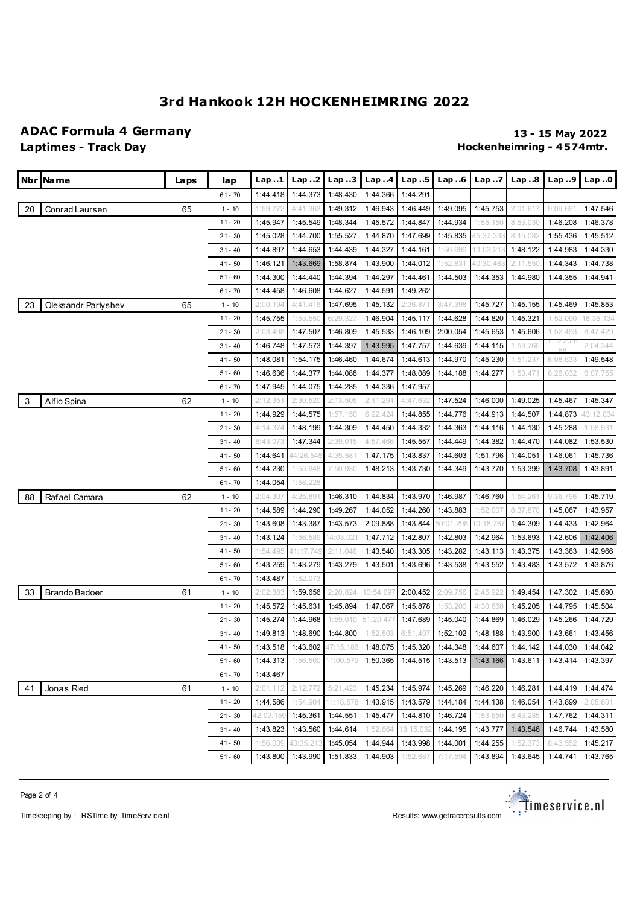### **ADAC Formula 4 Germany 13 - 15 May 2022**

## **Laptimes - Track Day Hockenheimring - 4 574mtr.**

|    | Nbr   Name           | La ps | lap       | <b>Lap</b> 1 | Lap 2     | Lap.3                       | Lap.4     | Lap.5             | Lap.6     | Lap.7     | Lap. .8  | Lap.9          | Lap.0     |
|----|----------------------|-------|-----------|--------------|-----------|-----------------------------|-----------|-------------------|-----------|-----------|----------|----------------|-----------|
|    |                      |       | $61 - 70$ | 1:44.418     | 1:44.373  | 1:48.430                    | 1:44.366  | 1:44.291          |           |           |          |                |           |
| 20 | Conrad Laursen       | 65    | $1 - 10$  | 1:59.772     | 4:41.363  | 1:49.312                    | 1:46.943  | 1:46.449          | 1:49.095  | 1:45.753  | 2:01.617 | 9:09.691       | 1:47.546  |
|    |                      |       | $11 - 20$ | 1:45.947     | 1:45.549  | 1:48.344                    | 1:45.572  | 1:44.847          | 1:44.934  | 1:55.150  | 8:53.030 | 1:46.208       | 1:46.378  |
|    |                      |       | $21 - 30$ | 1:45.028     | 1:44.700  | 1:55.527                    | 1:44.870  | 1:47.699          | 1:45.835  | 45:37.333 | 8:15.082 | 1:55.436       | 1:45.512  |
|    |                      |       | $31 - 40$ | 1:44.897     | 1:44.653  | 1:44.439                    | 1:44.327  | 1:44.161          | 1:56.690  | 13:03.213 | 1:48.122 | 1:44.983       | 1:44.330  |
|    |                      |       | $41 - 50$ | 1:46.121     | 1:43.669  | 1:58.874                    | 1:43.900  | 1:44.012          | 1:52.831  | 40:30.463 | 2:11.550 | 1:44.343       | 1:44.738  |
|    |                      |       | $51 - 60$ | 1:44.300     | 1:44.440  | 1:44.394                    | 1:44.297  | 1:44.461          | 1:44.503  | 1:44.353  | 1:44.980 | 1:44.355       | 1:44.941  |
|    |                      |       | $61 - 70$ | 1:44.458     | 1:46.608  | 1:44.627                    | 1:44.591  | 1:49.262          |           |           |          |                |           |
| 23 | Oleksandr Partyshev  | 65    | $1 - 10$  | 2:00.194     | 4:41.416  | 1:47.695                    | 1:45.132  | 2:36.87'          | 3:47.398  | 1:45.727  | 1:45.155 | 1:45.469       | 1:45.853  |
|    |                      |       | $11 - 20$ | 1:45.755     | 1:53.550  | 6:29.327                    | 1:46.904  | 1:45.117          | 1:44.628  | 1:44.820  | 1:45.321 | 1:52.090       | 18:35.134 |
|    |                      |       | $21 - 30$ | 2:03.498     | 1:47.507  | 1:46.809                    | 1:45.533  | 1:46.109          | 2:00.054  | 1:45.653  | 1:45.606 | 1:52.493       | 8:47.429  |
|    |                      |       | $31 - 40$ | 1:46.748     | 1:47.573  | 1:44.397                    | 1:43.995  | 1:47.757          | 1:44.639  | 1:44.115  | 1:53.765 | I∷I∠∠U.¢<br>68 | 2:04.344  |
|    |                      |       | 41 - 50   | 1:48.081     | 1:54.175  | 1:46.460                    | 1:44.674  | 1:44.613          | 1:44.970  | 1:45.230  | 1:51.237 | 6:08.633       | 1:49.548  |
|    |                      |       | $51 - 60$ | 1:46.636     | 1:44.377  | 1:44.088                    | 1:44.377  | 1:48.089          | 1:44.188  | 1:44.277  | 1:53.471 | 6:26.032       | 6:07.755  |
|    |                      |       | $61 - 70$ | 1:47.945     | 1:44.075  | 1:44.285                    | 1:44.336  | 1:47.957          |           |           |          |                |           |
| 3  | Alfio Spina          | 62    | $1 - 10$  | 2:12.35'     | 2:30.520  | 2:13.505                    | 2:11.291  | 4:47.632          | 1:47.524  | 1:46.000  | 1:49.025 | 1:45.467       | 1:45.347  |
|    |                      |       | $11 - 20$ | 1:44.929     | 1:44.575  | 1:57.150                    | 6:22.424  | 1:44.855          | 1:44.776  | 1:44.913  | 1:44.507 | 1:44.873       | 43:12.034 |
|    |                      |       | $21 - 30$ | 4:14.374     | 1:48.199  | 1:44.309                    | 1:44.450  | 1:44.332          | 1:44.363  | 1:44.116  | 1:44.130 | 1:45.288       | 1:58.931  |
|    |                      |       | $31 - 40$ | 8:43.073     | 1:47.344  | 2:39.015                    | 4:57.466  | 1:45.557          | 1:44.449  | 1:44.382  | 1:44.470 | 1:44.082       | 1:53.530  |
|    |                      |       | 41 - 50   | 1:44.641     | 44:26.545 | 4:35.581                    | 1:47.175  | 1:43.837          | 1:44.603  | 1:51.796  | 1:44.051 | 1:46.061       | 1:45.736  |
|    |                      |       | $51 - 60$ | 1:44.230     | 1:55.648  | 7:50.930                    | 1:48.213  | 1:43.730          | 1:44.349  | 1:43.770  | 1:53.399 | 1:43.708       | 1:43.891  |
|    |                      |       | $61 - 70$ | 1:44.054     | 1:58.228  |                             |           |                   |           |           |          |                |           |
| 88 | Rafael Camara        | 62    | $1 - 10$  | 2:04.307     | 4:25.891  | 1:46.310                    | 1:44.834  | 1:43.970          | 1:46.987  | 1:46.760  | 1:54.261 | 9:36.796       | 1:45.719  |
|    |                      |       | $11 - 20$ | 1:44.589     | 1:44.290  | 1:49.267                    | 1:44.052  | 1:44.260          | 1:43.883  | 1:52.007  | 8:37.870 | 1:45.067       | 1:43.957  |
|    |                      |       | $21 - 30$ | 1:43.608     | 1:43.387  | 1:43.573                    | 2:09.888  | 1:43.844          | 50:01.298 | 10:18.767 | 1:44.309 | 1:44.433       | 1:42.964  |
|    |                      |       | $31 - 40$ | 1:43.124     | 1:56.589  | 14:03.02                    | 1:47.712  | 1:42.807          | 1:42.803  | 1:42.964  | 1:53.693 | 1:42.606       | 1:42.406  |
|    |                      |       | $41 - 50$ | 1:54.495     | 41:17.749 | 2:11.046                    | 1:43.540  | 1:43.305          | 1:43.282  | 1:43.113  | 1:43.375 | 1:43.363       | 1:42.966  |
|    |                      |       | $51 - 60$ | 1:43.259     | 1:43.279  | 1:43.279                    | 1:43.501  | 1:43.696          | 1:43.538  | 1:43.552  | 1:43.483 | 1:43.572       | 1:43.876  |
|    |                      |       | $61 - 70$ | 1:43.487     | 1:52.073  |                             |           |                   |           |           |          |                |           |
| 33 | <b>Brando Badoer</b> | 61    | $1 - 10$  | 2:02.383     | 1:59.656  | 2:20.824                    | 10:54.097 | 2:00.452          | 2:09.756  | 2:45.922  | 1:49.454 | 1:47.302       | 1:45.690  |
|    |                      |       | $11 - 20$ | 1:45.572     | 1:45.631  | 1:45.894                    | 1:47.067  | 1:45.878          | 1:53.200  | 4:30.660  | 1:45.205 | 1:44.795       | 1:45.504  |
|    |                      |       | $21 - 30$ | 1:45.274     | 1:44.968  | 1:59.010                    | 51:20.477 | 1:47.689          | 1:45.040  | 1:44.869  | 1:46.029 | 1:45.266       | 1:44.729  |
|    |                      |       | $31 - 40$ | 1:49.813     | 1:48.690  | 1:44.800                    | 1:52.503  | 6:51.497          | 1:52.102  | 1:48.188  | 1:43.900 | 1:43.661       | 1:43.456  |
|    |                      |       | $41 - 50$ |              |           | 1:43.518 1:43.602 47:15.186 |           | 1:48.075 1:45.320 | 1:44.348  | 1:44.607  | 1:44.142 | 1:44.030       | 1:44.042  |
|    |                      |       | $51 - 60$ | 1:44.313     | 1:56.500  | 11:00.579                   | 1:50.365  | 1:44.515          | 1:43.513  | 1:43.166  | 1:43.611 | 1:43.414       | 1:43.397  |
|    |                      |       | $61 - 70$ | 1:43.467     |           |                             |           |                   |           |           |          |                |           |
| 41 | Jonas Ried           | 61    | $1 - 10$  | 2:01.112     | 2:12.772  | 5:21.423                    | 1:45.234  | 1:45.974          | 1:45.269  | 1:46.220  | 1:46.281 | 1:44.419       | 1:44.474  |
|    |                      |       | $11 - 20$ | 1:44.586     | 1:54.904  | 11:18.578                   | 1:43.915  | 1:43.579          | 1:44.184  | 1:44.138  | 1:46.054 | 1:43.899       | 2:05.801  |
|    |                      |       | $21 - 30$ | 42:09.15(    | 1:45.361  | 1:44.551                    | 1:45.477  | 1:44.810          | 1:46.724  | 1:53.650  | 8:43.285 | 1:47.762       | 1:44.311  |
|    |                      |       | $31 - 40$ | 1:43.823     | 1:43.560  | 1:44.614                    | 1:52.664  | 13:15.032         | 1:44.195  | 1:43.777  | 1:43.546 | 1:46.744       | 1:43.580  |
|    |                      |       | $41 - 50$ | 1:56.039     | 43:35.213 | 1:45.054                    | 1:44.944  | 1:43.998          | 1:44.001  | 1:44.255  | 1:52.373 | 8:43.552       | 1:45.217  |
|    |                      |       | $51 - 60$ | 1:43.800     | 1:43.990  | 1:51.833                    | 1:44.903  | 1:52.687          | 7:17.594  | 1:43.894  | 1:43.645 | 1:44.741       | 1:43.765  |



Timekeeping by : RSTime by TimeService.nl **Results:** Wesletter and Results: <www.getraceresults.com>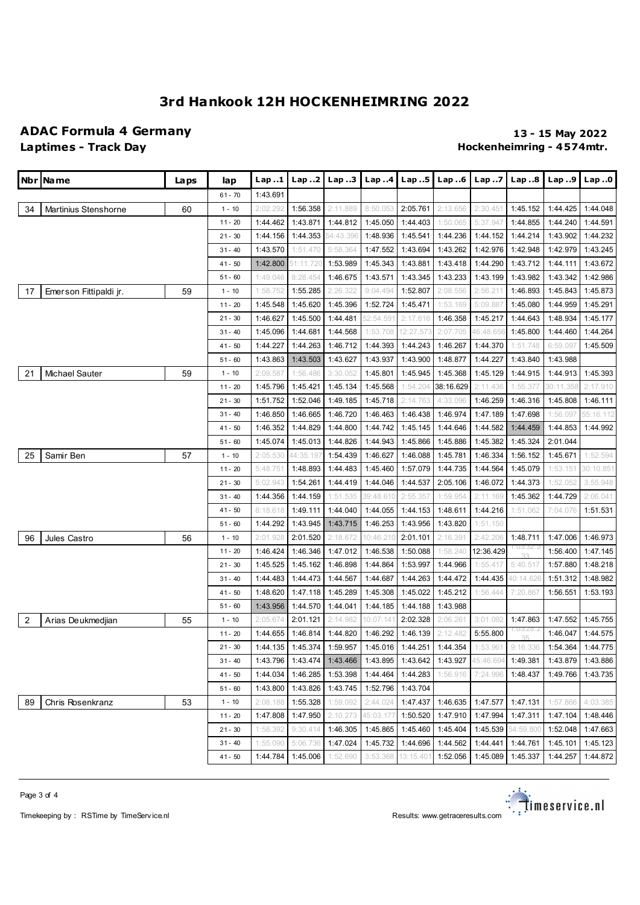### **ADAC Formula 4 Germany 13 - 15 May 2022**

## **Laptimes - Track Day Hockenheimring - 4 574mtr.**

|                | Nbr   Na me                 | Laps | lap       | Lap.1    | Lap2      | Lap. .3                    | Lap.4     | Lap.5     | Lap.6                      | Lap. .7   | Lap.8          | Lap.9     | Lap.0             |
|----------------|-----------------------------|------|-----------|----------|-----------|----------------------------|-----------|-----------|----------------------------|-----------|----------------|-----------|-------------------|
|                |                             |      | $61 - 70$ | 1:43.691 |           |                            |           |           |                            |           |                |           |                   |
| 34             | <b>Martinius Stenshorne</b> | 60   | $1 - 10$  | 2:02.292 | 1:56.358  | 2:11.889                   | 8:50.053  | 2:05.761  | 2:13.656                   | 2:30.451  | 1:45.152       | 1:44.425  | 1:44.048          |
|                |                             |      | $11 - 20$ | 1:44.462 | 1:43.871  | 1:44.812                   | 1:45.050  | 1:44.403  | 1:50.065                   | 5:37.947  | 1:44.855       | 1:44.240  | 1:44.591          |
|                |                             |      | $21 - 30$ | 1:44.156 | 1:44.353  | 54:43.396                  | 1:48.936  | 1:45.541  | 1:44.236                   | 1:44.152  | 1:44.214       | 1:43.902  | 1:44.232          |
|                |                             |      | $31 - 40$ | 1:43.570 | 1:51.470  | 5:58.364                   | 1:47.552  | 1:43.694  | 1:43.262                   | 1:42.976  | 1:42.948       | 1:42.979  | 1:43.245          |
|                |                             |      | $41 - 50$ | 1:42.800 | 51:11.720 | 1:53.989                   | 1:45.343  | 1:43.881  | 1:43.418                   | 1:44.290  | 1:43.712       | 1:44.111  | 1:43.672          |
|                |                             |      | $51 - 60$ | 1:49.046 | 8:28.454  | 1:46.675                   | 1:43.571  | 1:43.345  | 1:43.233                   | 1:43.199  | 1:43.982       | 1:43.342  | 1:42.986          |
| 17             | Emerson Fittipaldi jr.      | 59   | $1 - 10$  | 1:58.752 | 1:55.285  | 2:26.322                   | 9:04.494  | 1:52.807  | 2:08.556                   | 2:56.211  | 1:46.893       | 1:45.843  | 1:45.873          |
|                |                             |      | $11 - 20$ | 1:45.548 | 1:45.620  | 1:45.396                   | 1:52.724  | 1:45.471  | 1:53.169                   | 5:09.887  | 1:45.080       | 1:44.959  | 1:45.291          |
|                |                             |      | $21 - 30$ | 1:46.627 | 1:45.500  | 1:44.481                   | 52:54.591 | 2:17.616  | 1:46.358                   | 1:45.217  | 1:44.643       | 1:48.934  | 1:45.177          |
|                |                             |      | $31 - 40$ | 1:45.096 | 1:44.681  | 1:44.568                   | 1:53.708  | 12:27.573 | 2:07.705                   | 46:48.656 | 1:45.800       | 1:44.460  | 1:44.264          |
|                |                             |      | $41 - 50$ | 1:44.227 | 1:44.263  | 1:46.712                   | 1:44.393  | 1:44.243  | 1:46.267                   | 1:44.370  | 1:51.748       | 6:59.097  | 1:45.509          |
|                |                             |      | $51 - 60$ | 1:43.863 | 1:43.503  | 1:43.627                   | 1:43.937  | 1:43.900  | 1:48.877                   | 1:44.227  | 1:43.840       | 1:43.988  |                   |
| 21             | <b>Michael Sauter</b>       | 59   | $1 - 10$  | 2:09.587 | 1:56.486  | 3:30.052                   | 1:45.801  | 1:45.945  | 1:45.368                   | 1:45.129  | 1:44.915       | 1:44.913  | 1:45.393          |
|                |                             |      | $11 - 20$ | 1:45.796 | 1:45.421  | 1:45.134                   | 1:45.568  | 1:54.204  | 38:16.629                  | 2:11.436  | 1:55.377       | 30:11.358 | 2:17.910          |
|                |                             |      | $21 - 30$ | 1:51.752 | 1:52.046  | 1:49.185                   | 1:45.718  | 2:14.763  | 4:33.096                   | 1:46.259  | 1:46.316       | 1:45.808  | 1:46.111          |
|                |                             |      | $31 - 40$ | 1:46.850 | 1:46.665  | 1:46.720                   | 1:46.463  | 1:46.438  | 1:46.974                   | 1:47.189  | 1:47.698       | 1:56.097  | 55:16.112         |
|                |                             |      | $41 - 50$ | 1:46.352 | 1:44.829  | 1:44.800                   | 1:44.742  | 1:45.145  | 1:44.646                   | 1:44.582  | 1:44.459       | 1:44.853  | 1:44.992          |
|                |                             |      | $51 - 60$ | 1:45.074 | 1:45.013  | 1:44.826                   | 1:44.943  | 1:45.866  | 1:45.886                   | 1:45.382  | 1:45.324       | 2:01.044  |                   |
| 25             | Samir Ben                   | 57   | $1 - 10$  | 2:05.530 | 44:35.197 | 1:54.439                   | 1:46.627  | 1:46.088  | 1:45.781                   | 1:46.334  | 1:56.152       | 1:45.671  | 1:52.594          |
|                |                             |      | $11 - 20$ | 5:48.751 | 1:48.893  | 1:44.483                   | 1:45.460  | 1:57.079  | 1:44.735                   | 1:44.564  | 1:45.079       | 1:53.151  | 30:10.851         |
|                |                             |      | $21 - 30$ | 5:02.943 | 1:54.261  | 1:44.419                   | 1:44.046  | 1:44.537  | 2:05.106                   | 1:46.072  | 1:44.373       | 1:52.052  | 3:55.948          |
|                |                             |      | $31 - 40$ | 1:44.356 | 1:44.159  | 1:51.535                   | 39:48.610 | 2:55.357  | 1:59.954                   | 2:11.169  | 1:45.362       | 1:44.729  | 2:06.041          |
|                |                             |      | $41 - 50$ | 8:18.618 | 1:49.111  | 1:44.040                   | 1:44.055  | 1:44.153  | 1:48.611                   | 1:44.216  | 1:51.062       | 7:04.076  | 1:51.531          |
|                |                             |      | $51 - 60$ | 1:44.292 | 1:43.945  | 1:43.715                   | 1:46.253  | 1:43.956  | 1:43.820                   | 1:51.150  |                |           |                   |
| 96             | Jules Castro                | 56   | $1 - 10$  | 2:01.928 | 2:01.520  | 2:18.672                   | 10:46.210 | 2:01.101  | 2:16.391                   | 2:42.206  | 1:48.711       | 1:47.006  | 1:46.973          |
|                |                             |      | $11 - 20$ | 1:46.424 | 1:46.346  | 1:47.012                   | 1:46.538  | 1:50.088  | 1:58.240                   | 12:36.429 | U3.3∠.∛<br>33  | 1:56.400  | 1:47.145          |
|                |                             |      | $21 - 30$ | 1:45.525 | 1:45.162  | 1:46.898                   | 1:44.864  | 1:53.997  | 1:44.966                   | 1:55.417  | 5:40.517       | 1:57.880  | 1:48.218          |
|                |                             |      | $31 - 40$ | 1:44.483 | 1:44.473  | 1:44.567                   | 1:44.687  | 1:44.263  | 1:44.472                   | 1:44.435  | 40:14.626      | 1:51.312  | 1:48.982          |
|                |                             |      | $41 - 50$ | 1:48.620 | 1:47.118  | 1:45.289                   | 1:45.308  | 1:45.022  | 1:45.212                   | 1:56.444  | 7:20.867       | 1:56.551  | 1:53.193          |
|                |                             |      | $51 - 60$ | 1:43.956 | 1:44.570  | 1:44.041                   | 1:44.185  | 1:44.188  | 1:43.988                   |           |                |           |                   |
| $\overline{2}$ | Arias Deukmedjian           | 55   | $1 - 10$  | 2:05.674 | 2:01.121  | 2:14.982                   | 10:07.14  | 2:02.328  | 2:06.261                   | 3:01.092  | 1:47.863       | 1:47.552  | 1:45.755          |
|                |                             |      | $11 - 20$ | 1:44.655 | 1:46.814  | 1:44.820                   | 1:46.292  | 1:46.139  | 2:12.482                   | 5:55.800  | ∶U3.∠ö.∡<br>25 | 1:46.047  | 1:44.575          |
|                |                             |      | $21 - 30$ |          |           | 1:44.135 1:45.374 1:59.957 |           |           | 1:45.016 1:44.251 1:44.354 | 1:53.961  | 9:16.336       |           | 1:54.364 1:44.775 |
|                |                             |      | $31 - 40$ | 1:43.796 | 1:43.474  | 1:43.466                   | 1:43.895  | 1:43.642  | 1:43.927                   | 45:46.694 | 1:49.381       | 1:43.879  | 1:43.886          |
|                |                             |      | $41 - 50$ | 1:44.034 | 1:46.285  | 1:53.398                   | 1:44.464  | 1:44.283  | 1:56.916                   | 7:24.996  | 1:48.437       | 1:49.766  | 1:43.735          |
|                |                             |      | $51 - 60$ | 1:43.800 | 1:43.826  | 1:43.745                   | 1:52.796  | 1:43.704  |                            |           |                |           |                   |
| 89             | Chris Rosenkranz            | 53   | $1 - 10$  | 2:08.188 | 1:55.328  | 1:59.092                   | 2:44.024  | 1:47.437  | 1:46.635                   | 1:47.577  | 1:47.131       | 1:57.866  | 4:03.385          |
|                |                             |      | $11 - 20$ | 1:47.808 | 1:47.950  | 2:10.273                   | 45:03.177 | 1:50.520  | 1:47.910                   | 1:47.994  | 1:47.311       | 1:47.104  | 1:48.446          |
|                |                             |      | $21 - 30$ | 1:58.392 | 9:30.414  | 1:46.305                   | 1:45.865  | 1:45.460  | 1:45.404                   | 1:45.539  | 54:59.800      | 1:52.048  | 1:47.663          |
|                |                             |      | $31 - 40$ | 1:55.090 | 5:06.736  | 1:47.024                   | 1:45.732  | 1:44.696  | 1:44.562                   | 1:44.441  | 1:44.761       | 1:45.101  | 1:45.123          |
|                |                             |      | $41 - 50$ | 1:44.784 | 1:45.006  | 1:52.690                   | 3:53.368  | 13:15.401 | 1:52.056                   | 1:45.089  | 1:45.337       | 1:44.257  | 1:44.872          |





Timekeeping by : RSTime by TimeService.nl **Results:** Weslets: <www.getraceresults.com>